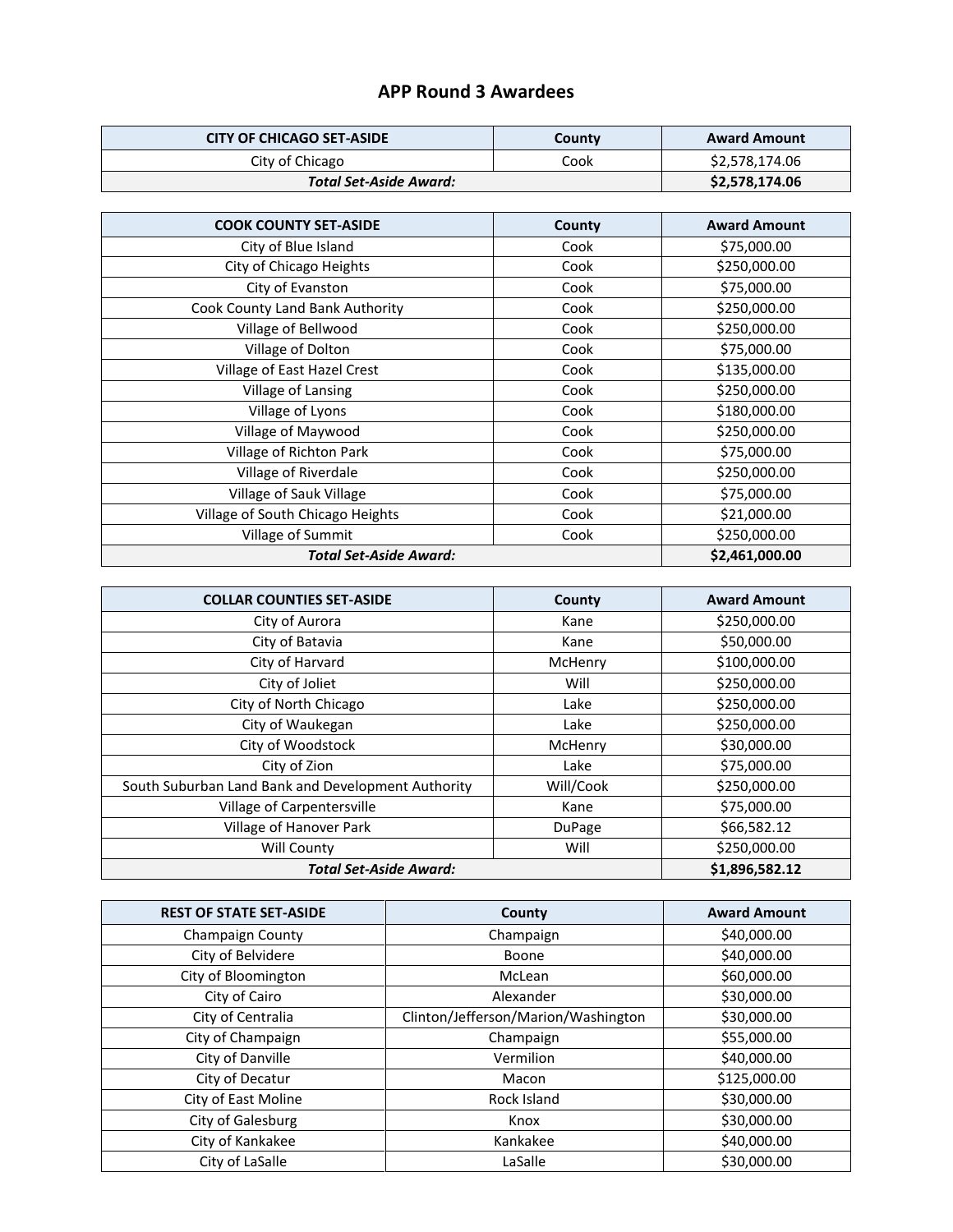## **APP Round 3 Awardees**

| <b>CITY OF CHICAGO SET-ASIDE</b> | County | <b>Award Amount</b> |
|----------------------------------|--------|---------------------|
| City of Chicago                  | Cook   | \$2,578,174.06      |
| Total Set-Aside Award: \         |        | \$2,578,174.06      |

| <b>COOK COUNTY SET-ASIDE</b>     | County | <b>Award Amount</b> |
|----------------------------------|--------|---------------------|
| City of Blue Island              | Cook   | \$75,000.00         |
| City of Chicago Heights          | Cook   | \$250,000.00        |
| City of Evanston                 | Cook   | \$75,000.00         |
| Cook County Land Bank Authority  | Cook   | \$250,000.00        |
| Village of Bellwood              | Cook   | \$250,000.00        |
| Village of Dolton                | Cook   | \$75,000.00         |
| Village of East Hazel Crest      | Cook   | \$135,000.00        |
| Village of Lansing               | Cook   | \$250,000.00        |
| Village of Lyons                 | Cook   | \$180,000.00        |
| Village of Maywood               | Cook   | \$250,000.00        |
| Village of Richton Park          | Cook   | \$75,000.00         |
| Village of Riverdale             | Cook   | \$250,000.00        |
| Village of Sauk Village          | Cook   | \$75,000.00         |
| Village of South Chicago Heights | Cook   | \$21,000.00         |
| Village of Summit                | Cook   | \$250,000.00        |
| <b>Total Set-Aside Award:</b>    |        | \$2,461,000.00      |

| <b>COLLAR COUNTIES SET-ASIDE</b>                   | County    | <b>Award Amount</b> |
|----------------------------------------------------|-----------|---------------------|
| City of Aurora                                     | Kane      | \$250,000.00        |
| City of Batavia                                    | Kane      | \$50,000.00         |
| City of Harvard                                    | McHenry   | \$100,000.00        |
| City of Joliet                                     | Will      | \$250,000.00        |
| City of North Chicago                              | Lake      | \$250,000.00        |
| City of Waukegan                                   | Lake      | \$250,000.00        |
| City of Woodstock                                  | McHenry   | \$30,000.00         |
| City of Zion                                       | Lake      | \$75,000.00         |
| South Suburban Land Bank and Development Authority | Will/Cook | \$250,000.00        |
| Village of Carpentersville                         | Kane      | \$75,000.00         |
| Village of Hanover Park                            | DuPage    | \$66,582.12         |
| Will County                                        | Will      | \$250,000.00        |
| <b>Total Set-Aside Award:</b>                      |           | \$1,896,582.12      |

| <b>REST OF STATE SET-ASIDE</b> | County                              | <b>Award Amount</b> |
|--------------------------------|-------------------------------------|---------------------|
| Champaign County               | Champaign                           | \$40,000.00         |
| City of Belvidere              | Boone                               | \$40,000.00         |
| City of Bloomington            | McLean                              | \$60,000.00         |
| City of Cairo                  | Alexander                           | \$30,000.00         |
| City of Centralia              | Clinton/Jefferson/Marion/Washington | \$30,000.00         |
| City of Champaign              | Champaign                           | \$55,000.00         |
| City of Danville               | Vermilion                           | \$40,000.00         |
| City of Decatur                | Macon                               | \$125,000.00        |
| City of East Moline            | Rock Island                         | \$30,000.00         |
| City of Galesburg              | Knox                                | \$30,000.00         |
| City of Kankakee               | Kankakee                            | \$40,000.00         |
| City of LaSalle                | LaSalle                             | \$30,000.00         |